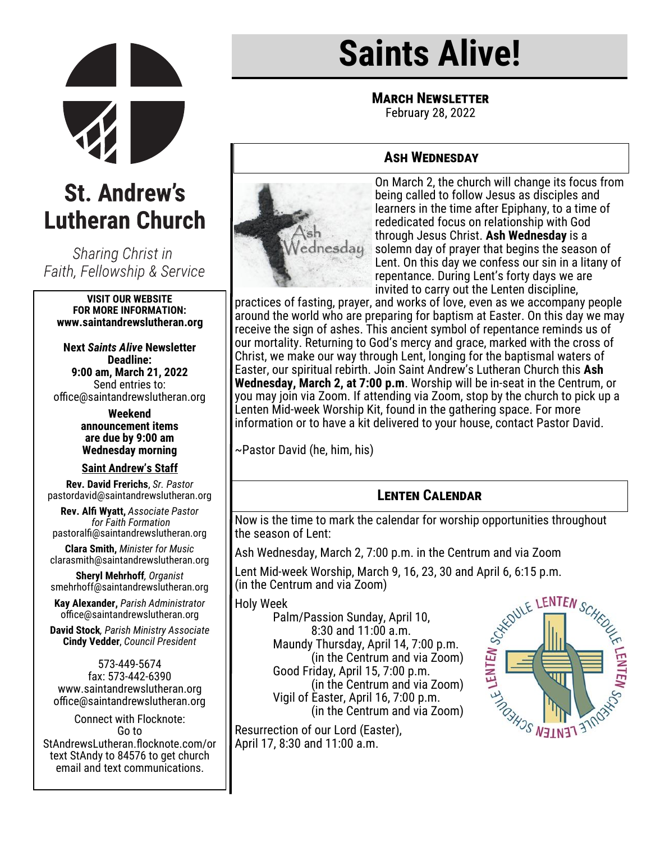

# **St. Andrew's Lutheran Church**

Sharing Christ in Faith, Fellowship & Service

#### **VISIT OUR WEBSITE FOR MORE INFORMATION: www.saintandrewslutheran.org**

**Next** *Saints Alive* **Newsletter Deadline: 9:00 am, March 21, 2022** Send entries to: office@saintandrewslutheran.org

> **Weekend announcement items are due by 9:00 am Wednesday morning**

#### **Saint Andrew's Staff**

**Rev. David Frerichs**, *Sr. Pastor* pastordavid@saintandrewslutheran.org

**Rev. Alfi Wyatt,** *Associate Pastor for Faith Formation* pastoralfi@saintandrewslutheran.org

**Clara Smith,** *Minister for Music* clarasmith@saintandrewslutheran.org

**Sheryl Mehrhoff***, Organist* smehrhoff@saintandrewslutheran.org

**Kay Alexander,** *Parish Administrator* office@saintandrewslutheran.org

**David Stock***, Parish Ministry Associate* **Cindy Vedder**, *Council President*

573-449-5674 fax: 573-442-6390 www.saintandrewslutheran.org office@saintandrewslutheran.org

Connect with Flocknote: Go to StAndrewsLutheran.flocknote.com/or text StAndy to 84576 to get church email and text communications.

# **Saints Alive!**

**MARCH NEWSLETTER** 

February 28, 2022

# **Ash Wednesday**



On March 2, the church will change its focus from being called to follow Jesus as disciples and learners in the time after Epiphany, to a time of rededicated focus on relationship with God through Jesus Christ. **Ash Wednesday** is a solemn day of prayer that begins the season of Lent. On this day we confess our sin in a litany of repentance. During Lent's forty days we are invited to carry out the Lenten discipline,

practices of fasting, prayer, and works of love, even as we accompany people around the world who are preparing for baptism at Easter. On this day we may receive the sign of ashes. This ancient symbol of repentance reminds us of our mortality. Returning to God's mercy and grace, marked with the cross of Christ, we make our way through Lent, longing for the baptismal waters of Easter, our spiritual rebirth. Join Saint Andrew's Lutheran Church this **Ash Wednesday, March 2, at 7:00 p.m**. Worship will be in-seat in the Centrum, or you may join via Zoom. If attending via Zoom, stop by the church to pick up a Lenten Mid-week Worship Kit, found in the gathering space. For more information or to have a kit delivered to your house, contact Pastor David.

~Pastor David (he, him, his)

# **Lenten Calendar**

Now is the time to mark the calendar for worship opportunities throughout the season of Lent:

Ash Wednesday, March 2, 7:00 p.m. in the Centrum and via Zoom

(in the Centrum and via Zoom)

Holy Week

Lent Mid-week Worship, March 9, 16, 23, 30 and April 6, 6:15 p.m.<br>
(in the Centrum and via Zoom)<br>
Holy Week<br>
Palm/Passion Sunday, April 10,<br>
8:30 and 11:00 a.m.<br>
Maundy Thursday, April 14, 7:00 p.m.<br>
(in the Centrum and v Palm/Passion Sunday, April 10, 8:30 and 11:00 a.m. Maundy Thursday, April 14, 7:00 p.m. (in the Centrum and via Zoom) Good Friday, April 15, 7:00 p.m. (in the Centrum and via Zoom) Vigil of Easter, April 16, 7:00 p.m. (in the Centrum and via Zoom)

Resurrection of our Lord (Easter), April 17, 8:30 and 11:00 a.m.

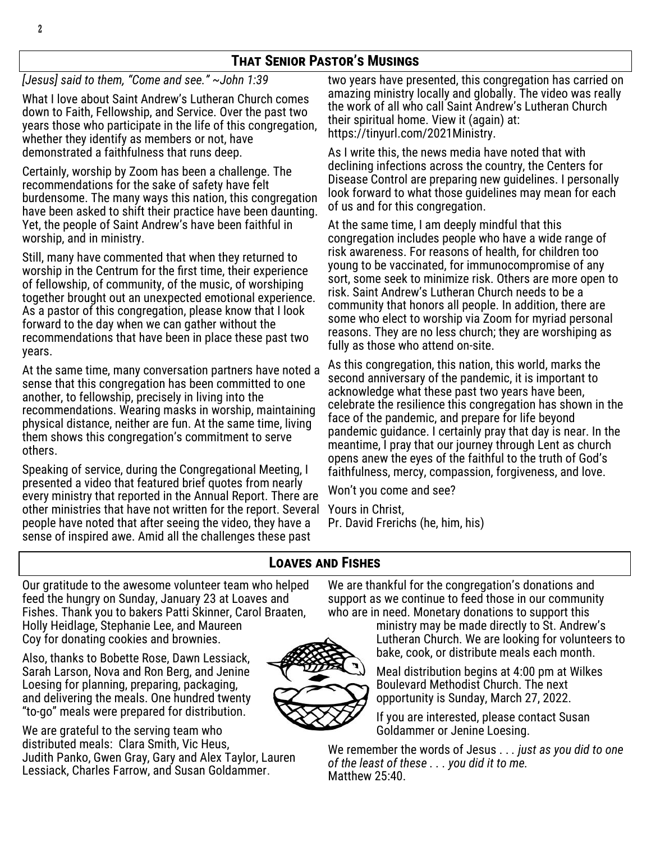# **That Senior Pastor's Musings**

*[Jesus] said to them, "Come and see." ~John 1:39*

What I love about Saint Andrew's Lutheran Church comes down to Faith, Fellowship, and Service. Over the past two years those who participate in the life of this congregation, whether they identify as members or not, have demonstrated a faithfulness that runs deep.

Certainly, worship by Zoom has been a challenge. The recommendations for the sake of safety have felt burdensome. The many ways this nation, this congregation have been asked to shift their practice have been daunting. Yet, the people of Saint Andrew's have been faithful in worship, and in ministry.

Still, many have commented that when they returned to worship in the Centrum for the first time, their experience of fellowship, of community, of the music, of worshiping together brought out an unexpected emotional experience. As a pastor of this congregation, please know that I look forward to the day when we can gather without the recommendations that have been in place these past two years.

At the same time, many conversation partners have noted a sense that this congregation has been committed to one another, to fellowship, precisely in living into the recommendations. Wearing masks in worship, maintaining physical distance, neither are fun. At the same time, living them shows this congregation's commitment to serve others.

Speaking of service, during the Congregational Meeting, I presented a video that featured brief quotes from nearly every ministry that reported in the Annual Report. There are other ministries that have not written for the report. Several people have noted that after seeing the video, they have a sense of inspired awe. Amid all the challenges these past

two years have presented, this congregation has carried on amazing ministry locally and globally. The video was really the work of all who call Saint Andrew's Lutheran Church their spiritual home. View it (again) at: https://tinyurl.com/2021Ministry.

As I write this, the news media have noted that with declining infections across the country, the Centers for Disease Control are preparing new guidelines. I personally look forward to what those guidelines may mean for each of us and for this congregation.

At the same time, I am deeply mindful that this congregation includes people who have a wide range of risk awareness. For reasons of health, for children too young to be vaccinated, for immunocompromise of any sort, some seek to minimize risk. Others are more open to risk. Saint Andrew's Lutheran Church needs to be a community that honors all people. In addition, there are some who elect to worship via Zoom for myriad personal reasons. They are no less church; they are worshiping as fully as those who attend on-site.

As this congregation, this nation, this world, marks the second anniversary of the pandemic, it is important to acknowledge what these past two years have been, celebrate the resilience this congregation has shown in the face of the pandemic, and prepare for life beyond pandemic guidance. I certainly pray that day is near. In the meantime, I pray that our journey through Lent as church opens anew the eyes of the faithful to the truth of God's faithfulness, mercy, compassion, forgiveness, and love.

Won't you come and see?

Yours in Christ, Pr. David Frerichs (he, him, his)

# **Loaves and Fishes**

Our gratitude to the awesome volunteer team who helped feed the hungry on Sunday, January 23 at Loaves and Fishes. Thank you to bakers Patti Skinner, Carol Braaten, Holly Heidlage, Stephanie Lee, and Maureen Coy for donating cookies and brownies.

Also, thanks to Bobette Rose, Dawn Lessiack, Sarah Larson, Nova and Ron Berg, and Jenine Loesing for planning, preparing, packaging, and delivering the meals. One hundred twenty "to-go" meals were prepared for distribution.

We are grateful to the serving team who distributed meals: Clara Smith, Vic Heus, Judith Panko, Gwen Gray, Gary and Alex Taylor, Lauren Lessiack, Charles Farrow, and Susan Goldammer.

We are thankful for the congregation's donations and support as we continue to feed those in our community who are in need. Monetary donations to support this

> ministry may be made directly to St. Andrew's Lutheran Church. We are looking for volunteers to bake, cook, or distribute meals each month.

Meal distribution begins at 4:00 pm at Wilkes Boulevard Methodist Church. The next opportunity is Sunday, March 27, 2022.

If you are interested, please contact Susan Goldammer or Jenine Loesing.

We remember the words of Jesus . . *. just as you did to one of the least of these . . . you did it to me.* Matthew 25:40.

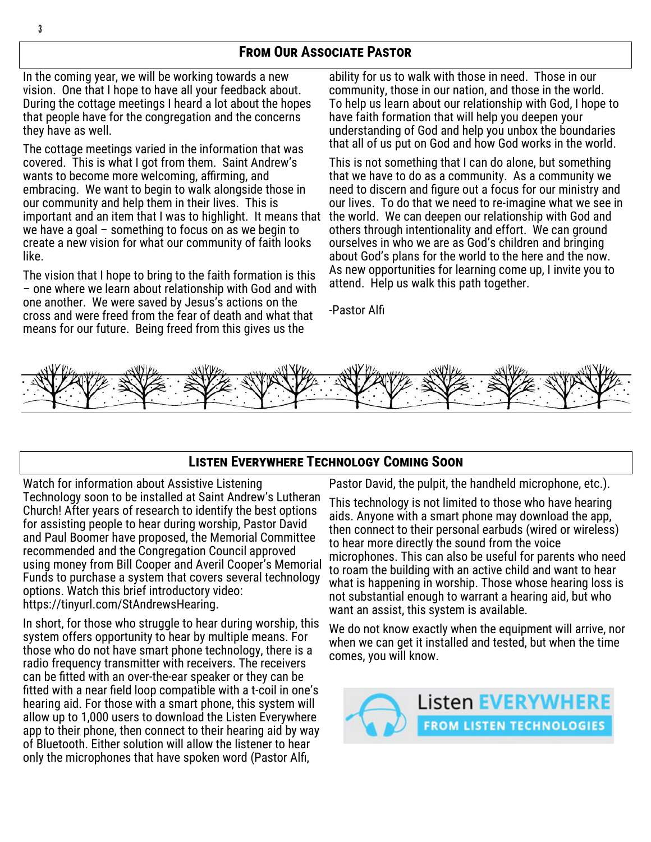# **From Our Associate Pastor**

In the coming year, we will be working towards a new vision. One that I hope to have all your feedback about. During the cottage meetings I heard a lot about the hopes that people have for the congregation and the concerns they have as well.

The cottage meetings varied in the information that was covered. This is what I got from them. Saint Andrew's wants to become more welcoming, affirming, and embracing. We want to begin to walk alongside those in our community and help them in their lives. This is important and an item that I was to highlight. It means that we have a goal – something to focus on as we begin to create a new vision for what our community of faith looks like.

The vision that I hope to bring to the faith formation is this – one where we learn about relationship with God and with one another. We were saved by Jesus's actions on the cross and were freed from the fear of death and what that means for our future. Being freed from this gives us the

ability for us to walk with those in need. Those in our community, those in our nation, and those in the world. To help us learn about our relationship with God, I hope to have faith formation that will help you deepen your understanding of God and help you unbox the boundaries that all of us put on God and how God works in the world.

This is not something that I can do alone, but something that we have to do as a community. As a community we need to discern and figure out a focus for our ministry and our lives. To do that we need to re-imagine what we see in the world. We can deepen our relationship with God and others through intentionality and effort. We can ground ourselves in who we are as God's children and bringing about God's plans for the world to the here and the now. As new opportunities for learning come up, I invite you to attend. Help us walk this path together.

-Pastor Alfi



### **Listen Everywhere Technology Coming Soon**

Watch for information about Assistive Listening Technology soon to be installed at Saint Andrew's Lutheran Church! After years of research to identify the best options for assisting people to hear during worship, Pastor David and Paul Boomer have proposed, the Memorial Committee recommended and the Congregation Council approved using money from Bill Cooper and Averil Cooper's Memorial Funds to purchase a system that covers several technology options. Watch this brief introductory video: https://tinyurl.com/StAndrewsHearing.

In short, for those who struggle to hear during worship, this system offers opportunity to hear by multiple means. For those who do not have smart phone technology, there is a radio frequency transmitter with receivers. The receivers can be fitted with an over-the-ear speaker or they can be fitted with a near field loop compatible with a t-coil in one's hearing aid. For those with a smart phone, this system will allow up to 1,000 users to download the Listen Everywhere app to their phone, then connect to their hearing aid by way of Bluetooth. Either solution will allow the listener to hear only the microphones that have spoken word (Pastor Alfi,

Pastor David, the pulpit, the handheld microphone, etc.).

This technology is not limited to those who have hearing aids. Anyone with a smart phone may download the app, then connect to their personal earbuds (wired or wireless) to hear more directly the sound from the voice microphones. This can also be useful for parents who need to roam the building with an active child and want to hear what is happening in worship. Those whose hearing loss is not substantial enough to warrant a hearing aid, but who want an assist, this system is available.

We do not know exactly when the equipment will arrive, nor when we can get it installed and tested, but when the time comes, you will know.

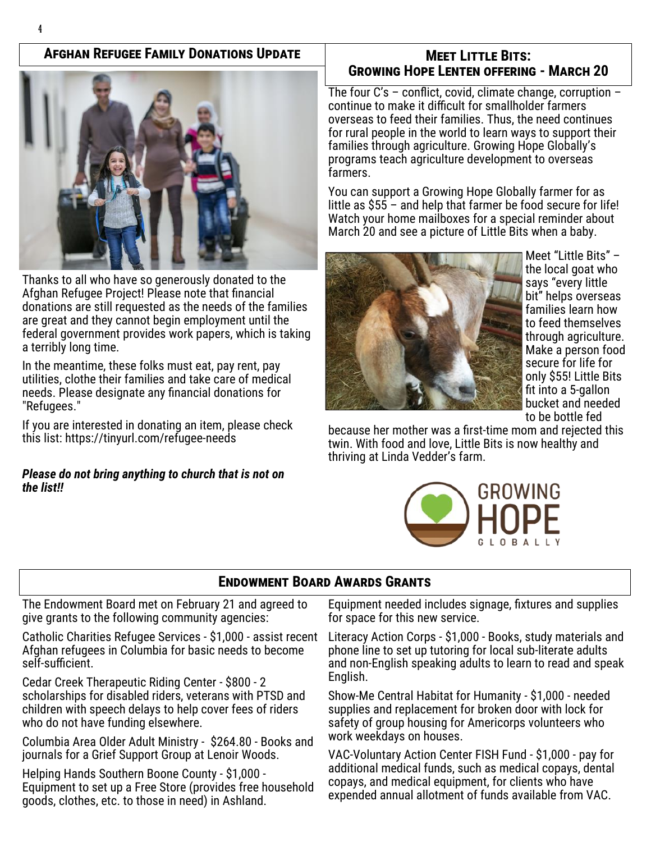### **Afghan Refugee Family Donations Update**



Thanks to all who have so generously donated to the Afghan Refugee Project! Please note that financial donations are still requested as the needs of the families are great and they cannot begin employment until the federal government provides work papers, which is taking a terribly long time.

In the meantime, these folks must eat, pay rent, pay utilities, clothe their families and take care of medical needs. Please designate any financial donations for "Refugees."

If you are interested in donating an item, please check this list: [https://tinyurl.com/refugee](https://tinyurl.com/refugee-needs)-needs

#### *Please do not bring anything to church that is not on the list!!*

### **Meet Little Bits: Growing Hope Lenten offering - March 20**

The four C's – conflict, covid, climate change, corruption – continue to make it difficult for smallholder farmers overseas to feed their families. Thus, the need continues for rural people in the world to learn ways to support their families through agriculture. Growing Hope Globally's programs teach agriculture development to overseas farmers.

You can support a Growing Hope Globally farmer for as little as \$55 – and help that farmer be food secure for life! Watch your home mailboxes for a special reminder about March 20 and see a picture of Little Bits when a baby.



Meet "Little Bits" – the local goat who says "every little bit" helps overseas families learn how to feed themselves through agriculture. Make a person food secure for life for only \$55! Little Bits fit into a 5-gallon bucket and needed to be bottle fed

because her mother was a first-time mom and rejected this twin. With food and love, Little Bits is now healthy and thriving at Linda Vedder's farm.



# **Endowment Board Awards Grants**

The Endowment Board met on February 21 and agreed to give grants to the following community agencies:

Catholic Charities Refugee Services - \$1,000 - assist recent Afghan refugees in Columbia for basic needs to become self-sufficient.

Cedar Creek Therapeutic Riding Center - \$800 - 2 scholarships for disabled riders, veterans with PTSD and children with speech delays to help cover fees of riders who do not have funding elsewhere.

Columbia Area Older Adult Ministry - \$264.80 - Books and journals for a Grief Support Group at Lenoir Woods.

Helping Hands Southern Boone County - \$1,000 - Equipment to set up a Free Store (provides free household goods, clothes, etc. to those in need) in Ashland.

Equipment needed includes signage, fixtures and supplies for space for this new service.

Literacy Action Corps - \$1,000 - Books, study materials and phone line to set up tutoring for local sub-literate adults and non-English speaking adults to learn to read and speak English.

Show-Me Central Habitat for Humanity - \$1,000 - needed supplies and replacement for broken door with lock for safety of group housing for Americorps volunteers who work weekdays on houses.

VAC-Voluntary Action Center FISH Fund - \$1,000 - pay for additional medical funds, such as medical copays, dental copays, and medical equipment, for clients who have expended annual allotment of funds available from VAC.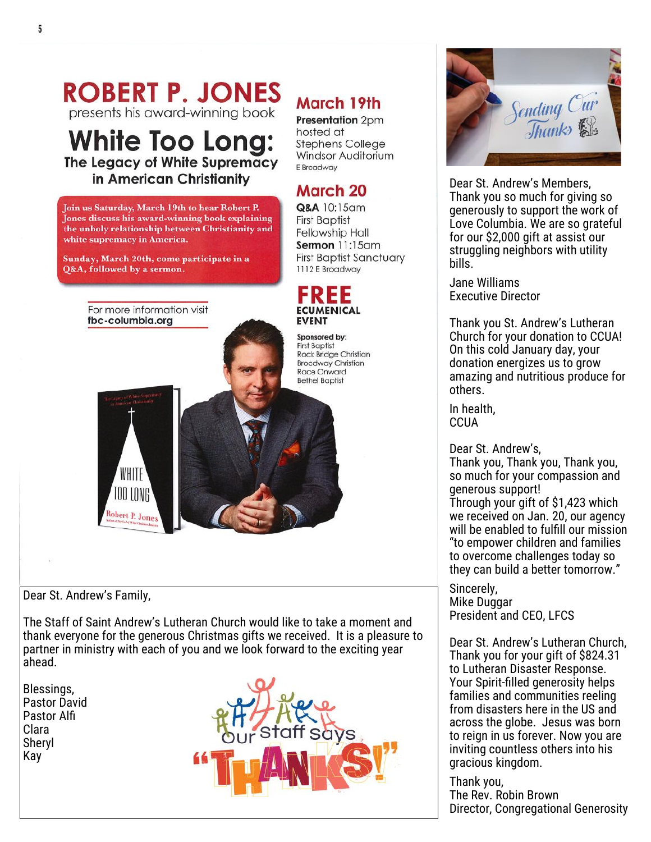# **ROBERT P. JONES**

presents his award-winning book

# **White Too Long:** The Legacy of White Supremacy in American Christianity

Join us Saturday, March 19th to hear Robert P. Jones discuss his award-winning book explaining the unholy relationship between Christianity and white supremacy in America.

Sunday, March 20th, come participate in a Q&A, followed by a sermon.

> For more information visit fbc-columbia.org



**Presentation** 2pm hosted at **Stephens College** Windsor Auditorium F Broadway

# March 20

Q&A 10:15am **First Baptist Fellowship Hall** Sermon 11:15am **First Baptist Sanctuary** 1112 E Broadway



Sponsored by: **First Baptist** Rock Bridge Christian **Broadway Christian** Race Onward **Bethel Baptist** 



Dear St. Andrew's Family,

The Staff of Saint Andrew's Lutheran Church would like to take a moment and thank everyone for the generous Christmas gifts we received. It is a pleasure to partner in ministry with each of you and we look forward to the exciting year ahead.

Blessings, Pastor David Pastor Alfi Clara Sheryl Kay





Dear St. Andrew's Members, Thank you so much for giving so generously to support the work of Love Columbia. We are so grateful for our \$2,000 gift at assist our struggling neighbors with utility bills.

Jane Williams Executive Director

Thank you St. Andrew's Lutheran Church for your donation to CCUA! On this cold January day, your donation energizes us to grow amazing and nutritious produce for others.

In health, **CCUA** 

Dear St. Andrew's, Thank you, Thank you, Thank you, so much for your compassion and generous support! Through your gift of \$1,423 which we received on Jan. 20, our agency will be enabled to fulfill our mission "to empower children and families

to overcome challenges today so they can build a better tomorrow."

Sincerely, Mike Duggar President and CEO, LFCS

Dear St. Andrew's Lutheran Church, Thank you for your gift of \$824.31 to Lutheran Disaster Response. Your Spirit-filled generosity helps families and communities reeling from disasters here in the US and across the globe. Jesus was born to reign in us forever. Now you are inviting countless others into his gracious kingdom.

Thank you, The Rev. Robin Brown Director, Congregational Generosity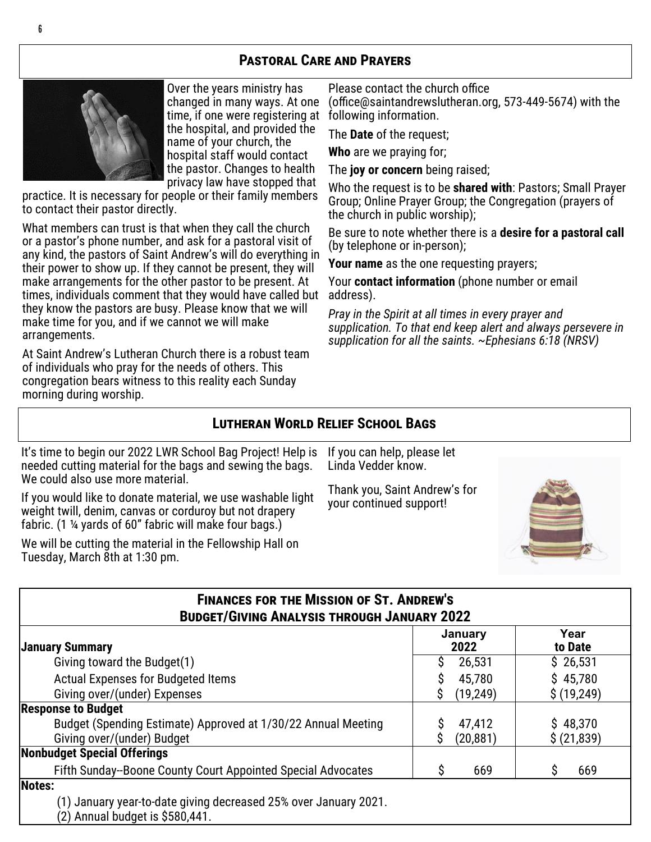# **Pastoral Care and Prayers**



6

Over the years ministry has changed in many ways. At one time, if one were registering at the hospital, and provided the name of your church, the hospital staff would contact the pastor. Changes to health privacy law have stopped that

practice. It is necessary for people or their family members to contact their pastor directly.

What members can trust is that when they call the church or a pastor's phone number, and ask for a pastoral visit of any kind, the pastors of Saint Andrew's will do everything in their power to show up. If they cannot be present, they will make arrangements for the other pastor to be present. At times, individuals comment that they would have called but they know the pastors are busy. Please know that we will make time for you, and if we cannot we will make arrangements.

At Saint Andrew's Lutheran Church there is a robust team of individuals who pray for the needs of others. This congregation bears witness to this reality each Sunday morning during worship.

Please contact the church office (office@saintandrewslutheran.org, 573-449-5674) with the following information.

The **Date** of the request;

**Who** are we praying for;

The **joy or concern** being raised;

Who the request is to be **shared with**: Pastors; Small Prayer Group; Online Prayer Group; the Congregation (prayers of the church in public worship);

Be sure to note whether there is a **desire for a pastoral call** (by telephone or in-person);

**Your name** as the one requesting prayers;

Your **contact information** (phone number or email address).

*Pray in the Spirit at all times in every prayer and supplication. To that end keep alert and always persevere in supplication for all the saints. ~Ephesians 6:18 (NRSV)*

#### **Lutheran World Relief School Bags**

It's time to begin our 2022 LWR School Bag Project! Help is needed cutting material for the bags and sewing the bags. We could also use more material.

If you would like to donate material, we use washable light weight twill, denim, canvas or corduroy but not drapery fabric. (1 ¼ yards of 60" fabric will make four bags.)

We will be cutting the material in the Fellowship Hall on Tuesday, March 8th at 1:30 pm.

If you can help, please let Linda Vedder know.

Thank you, Saint Andrew's for your continued support!



| <b>FINANCES FOR THE MISSION OF ST. ANDREW'S</b><br><b>BUDGET/GIVING ANALYSIS THROUGH JANUARY 2022</b> |                     |                         |  |  |
|-------------------------------------------------------------------------------------------------------|---------------------|-------------------------|--|--|
| <b>January Summary</b>                                                                                | January<br>2022     | Year<br>to Date         |  |  |
| Giving toward the Budget(1)                                                                           | 26,531              | \$26,531                |  |  |
| <b>Actual Expenses for Budgeted Items</b>                                                             | 45,780<br>S         | \$45,780                |  |  |
| Giving over/(under) Expenses                                                                          | (19, 249)<br>S      | \$(19,249)              |  |  |
| <b>Response to Budget</b>                                                                             |                     |                         |  |  |
| Budget (Spending Estimate) Approved at 1/30/22 Annual Meeting<br>Giving over/(under) Budget           | 47,412<br>(20, 881) | \$48,370<br>\$ (21,839) |  |  |
| <b>Nonbudget Special Offerings</b>                                                                    |                     |                         |  |  |
| Fifth Sunday--Boone County Court Appointed Special Advocates                                          | Ŝ<br>669            | 669<br>S                |  |  |
| Notes:                                                                                                |                     |                         |  |  |
| (1) January year-to-date giving decreased 25% over January 2021.<br>(2) Annual budget is \$580,441.   |                     |                         |  |  |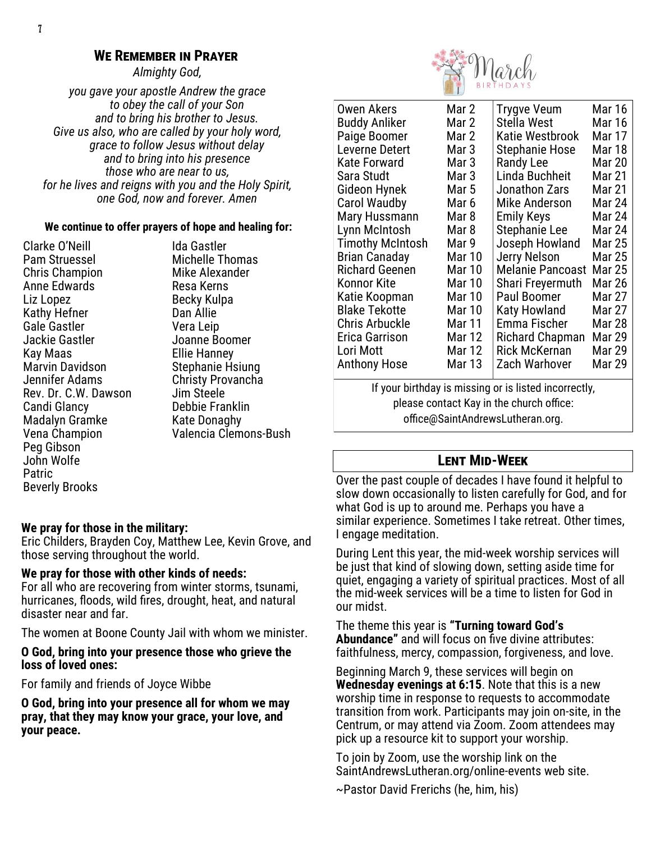#### **We Remember in Prayer**

*Almighty God,* 

*you gave your apostle Andrew the grace to obey the call of your Son and to bring his brother to Jesus. Give us also, who are called by your holy word, grace to follow Jesus without delay and to bring into his presence those who are near to us, for he lives and reigns with you and the Holy Spirit, one God, now and forever. Amen*

#### **We continue to offer prayers of hope and healing for:**

Clarke O'Neill Pam Struessel Chris Champion Anne Edwards Liz Lopez Kathy Hefner Gale Gastler Jackie Gastler Kay Maas Marvin Davidson Jennifer Adams Rev. Dr. C.W. Dawson Candi Glancy Madalyn Gramke Vena Champion Peg Gibson John Wolfe Patric Beverly Brooks

Ida Gastler Michelle Thomas Mike Alexander Resa Kerns Becky Kulpa Dan Allie Vera Leip Joanne Boomer Ellie Hanney Stephanie Hsiung Christy Provancha Jim Steele Debbie Franklin Kate Donaghy Valencia Clemons-Bush

#### **We pray for those in the military:**

Eric Childers, Brayden Coy, Matthew Lee, Kevin Grove, and those serving throughout the world.

#### **We pray for those with other kinds of needs:**

For all who are recovering from winter storms, tsunami, hurricanes, floods, wild fires, drought, heat, and natural disaster near and far.

The women at Boone County Jail with whom we minister.

#### **O God, bring into your presence those who grieve the loss of loved ones:**

For family and friends of Joyce Wibbe

**O God, bring into your presence all for whom we may pray, that they may know your grace, your love, and your peace.**



| Owen Akers                                            | Mar 2         | Trygve Veum             | Mar 16        |  |  |
|-------------------------------------------------------|---------------|-------------------------|---------------|--|--|
| Buddy Anliker                                         | Mar 2         | Stella West             | <b>Mar 16</b> |  |  |
| Paige Boomer                                          | Mar 2         | Katie Westbrook         | Mar 17        |  |  |
| Leverne Detert                                        | Mar 3         | Stephanie Hose          | Mar 18        |  |  |
| Kate Forward                                          | Mar 3         | <b>Randy Lee</b>        | <b>Mar 20</b> |  |  |
| Sara Studt                                            | Mar 3         | Linda Buchheit          | Mar 21        |  |  |
| Gideon Hynek                                          | Mar 5         | Jonathon Zars           | <b>Mar 21</b> |  |  |
| <b>Carol Waudby</b>                                   | Mar 6         | Mike Anderson           | Mar 24        |  |  |
| Mary Hussmann                                         | Mar 8         | Emily Keys              | <b>Mar 24</b> |  |  |
| Lynn McIntosh                                         | Mar 8         | Stephanie Lee           | Mar 24        |  |  |
| <b>Timothy McIntosh</b>                               | Mar 9         | Joseph Howland          | Mar 25        |  |  |
| Brian Canaday                                         | Mar 10        | Jerry Nelson            | <b>Mar 25</b> |  |  |
| Richard Geenen                                        | Mar 10        | <b>Melanie Pancoast</b> | Mar 25        |  |  |
| Konnor Kite                                           | <b>Mar 10</b> | Shari Freyermuth        | <b>Mar 26</b> |  |  |
| Katie Koopman                                         | <b>Mar 10</b> | Paul Boomer             | Mar 27        |  |  |
| Blake Tekotte                                         | <b>Mar 10</b> | Katy Howland            | Mar 27        |  |  |
| Chris Arbuckle                                        | Mar 11        | Emma Fischer            | Mar 28        |  |  |
| Erica Garrison                                        | Mar 12        | Richard Chapman         | Mar 29        |  |  |
| Lori Mott                                             | Mar 12        | <b>Rick McKernan</b>    | Mar 29        |  |  |
| Anthony Hose                                          | Mar 13        | Zach Warhover           | Mar 29        |  |  |
| If your birthday is missing or is listed incorrectly, |               |                         |               |  |  |
| please contact Kay in the church office:              |               |                         |               |  |  |

office@SaintAndrewsLutheran.org.

#### **Lent Mid-Week**

Over the past couple of decades I have found it helpful to slow down occasionally to listen carefully for God, and for what God is up to around me. Perhaps you have a similar experience. Sometimes I take retreat. Other times, I engage meditation.

During Lent this year, the mid-week worship services will be just that kind of slowing down, setting aside time for quiet, engaging a variety of spiritual practices. Most of all the mid-week services will be a time to listen for God in our midst.

The theme this year is **"Turning toward God's Abundance"** and will focus on five divine attributes: faithfulness, mercy, compassion, forgiveness, and love.

Beginning March 9, these services will begin on **Wednesday evenings at 6:15**. Note that this is a new worship time in response to requests to accommodate transition from work. Participants may join on-site, in the Centrum, or may attend via Zoom. Zoom attendees may pick up a resource kit to support your worship.

To join by Zoom, use the worship link on the SaintAndrewsLutheran.org/online-events web site.

~Pastor David Frerichs (he, him, his)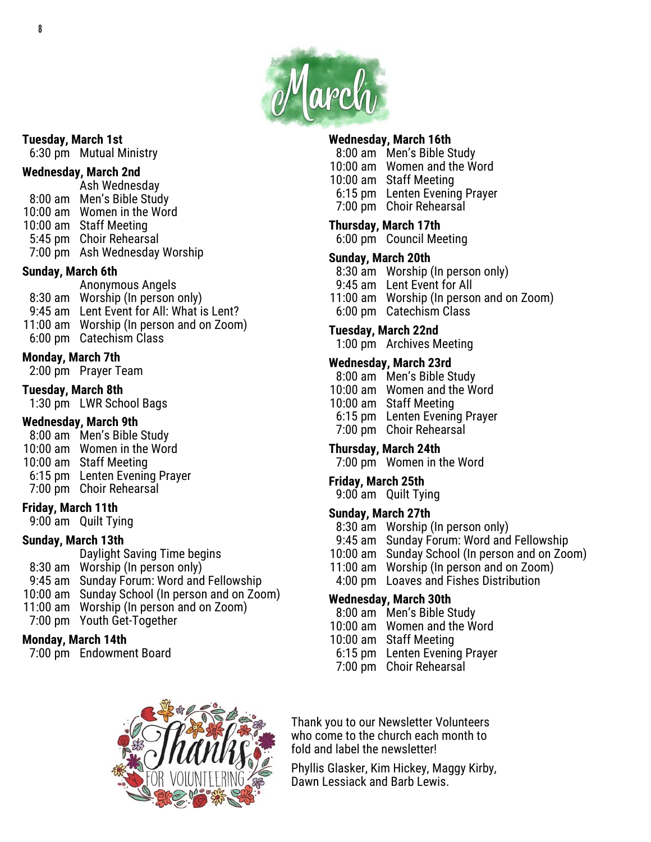

#### **Tuesday, March 1st**

6:30 pm Mutual Ministry

#### **Wednesday, March 2nd**

Ash Wednesday 8:00 am Men's Bible Study 10:00 am Women in the Word 10:00 am Staff Meeting 5:45 pm Choir Rehearsal 7:00 pm Ash Wednesday Worship

- **Sunday, March 6th**
- Anonymous Angels 8:30 am Worship (In person only) 9:45 am Lent Event for All: What is Lent? 11:00 am Worship (In person and on Zoom) 6:00 pm Catechism Class
- **Monday, March 7th**

2:00 pm Prayer Team

**Tuesday, March 8th**

1:30 pm LWR School Bags

#### **Wednesday, March 9th**

- 8:00 am Men's Bible Study
- 10:00 am Women in the Word
- 10:00 am Staff Meeting
- 6:15 pm Lenten Evening Prayer
- 7:00 pm Choir Rehearsal

#### **Friday, March 11th**

9:00 am Quilt Tying

#### **Sunday, March 13th**

Daylight Saving Time begins 8:30 am Worship (In person only) 9:45 am Sunday Forum: Word and Fellowship 10:00 am Sunday School (In person and on Zoom) 11:00 am Worship (In person and on Zoom)

7:00 pm Youth Get-Together

#### **Monday, March 14th**

7:00 pm Endowment Board

# **Wednesday, March 16th**

- 8:00 am Men's Bible Study
- 10:00 am Women and the Word
- 10:00 am Staff Meeting
- 6:15 pm Lenten Evening Prayer
- 7:00 pm Choir Rehearsal

# **Thursday, March 17th**

6:00 pm Council Meeting

#### **Sunday, March 20th**

- 8:30 am Worship (In person only)
- 9:45 am Lent Event for All
- 11:00 am Worship (In person and on Zoom)
- 6:00 pm Catechism Class

#### **Tuesday, March 22nd**

1:00 pm Archives Meeting

#### **Wednesday, March 23rd**

- 8:00 am Men's Bible Study
- 10:00 am Women and the Word
- 10:00 am Staff Meeting
- 6:15 pm Lenten Evening Prayer
- 7:00 pm Choir Rehearsal

#### **Thursday, March 24th**

7:00 pm Women in the Word

#### **Friday, March 25th**

9:00 am Quilt Tying

#### **Sunday, March 27th**

- 8:30 am Worship (In person only)
- 9:45 am Sunday Forum: Word and Fellowship
- 10:00 am Sunday School (In person and on Zoom)
- 11:00 am Worship (In person and on Zoom)
- 4:00 pm Loaves and Fishes Distribution

#### **Wednesday, March 30th**

- 8:00 am Men's Bible Study
- 10:00 am Women and the Word
- 10:00 am Staff Meeting
- 6:15 pm Lenten Evening Prayer
- 7:00 pm Choir Rehearsal



Thank you to our Newsletter Volunteers who come to the church each month to fold and label the newsletter!

Phyllis Glasker, Kim Hickey, Maggy Kirby, Dawn Lessiack and Barb Lewis.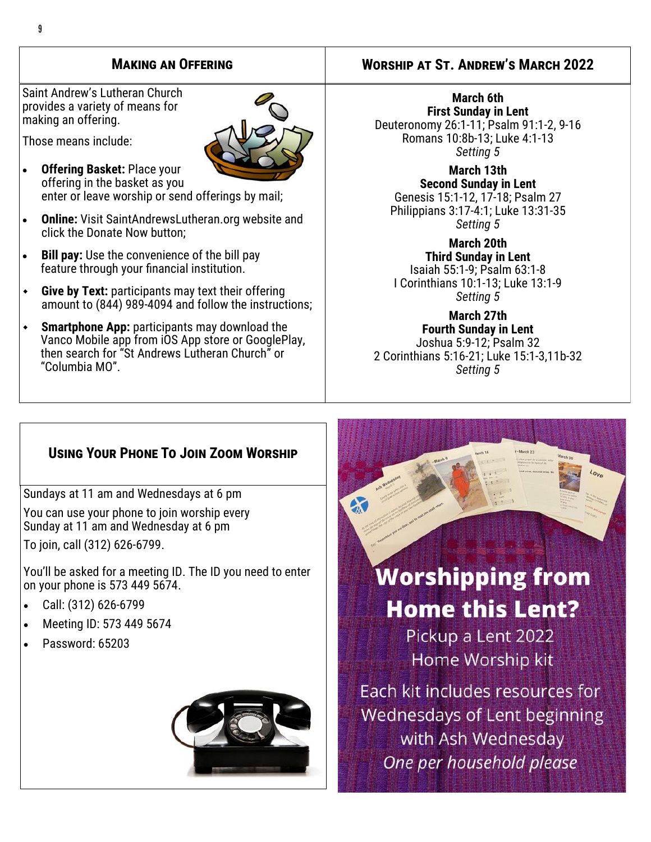Saint Andrew's Lutheran Church provides a variety of means for making an offering.

• **Offering Basket:** Place your

Those means include:



offering in the basket as you enter or leave worship or send offerings by mail;

- **Online:** Visit SaintAndrewsLutheran.org website and click the Donate Now button;
- **Bill pay:** Use the convenience of the bill pay feature through your financial institution.
- **Give by Text:** participants may text their offering amount to (844) 989-4094 and follow the instructions;
- **Smartphone App:** participants may download the Vanco Mobile app from iOS App store or GooglePlay, then search for "St Andrews Lutheran Church" or "Columbia MO".

#### **Making an Offering Worship at St. Andrew's March 2022**

**March 6th First Sunday in Lent** Deuteronomy 26:1-11; Psalm 91:1-2, 9-16 Romans 10:8b-13; Luke 4:1-13 *Setting 5*

#### **March 13th Second Sunday in Lent** Genesis 15:1-12, 17-18; Psalm 27 Philippians 3:17-4:1; Luke 13:31-35 *Setting 5*

**March 20th Third Sunday in Lent** Isaiah 55:1-9; Psalm 63:1-8 I Corinthians 10:1-13; Luke 13:1-9 *Setting 5*

**March 27th Fourth Sunday in Lent** Joshua 5:9-12; Psalm 32 2 Corinthians 5:16-21; Luke 15:1-3,11b-32 *Setting 5*

# **Using Your Phone To Join Zoom Worship**

Sundays at 11 am and Wednesdays at 6 pm You can use your phone to join worship every Sunday at 11 am and Wednesday at 6 pm To join, call (312) 626-6799.

You'll be asked for a meeting ID. The ID you need to enter on your phone is 573 449 5674.

- Call: (312) 626-6799
- Meeting ID: 573 449 5674 Ĭ
- Password: 65203





# **Worshipping from Home this Lent?**

Pickup a Lent 2022 Home Worship kit

Fach kit includes resources for Wednesdays of Lent beginning with Ash Wednesday One per household please